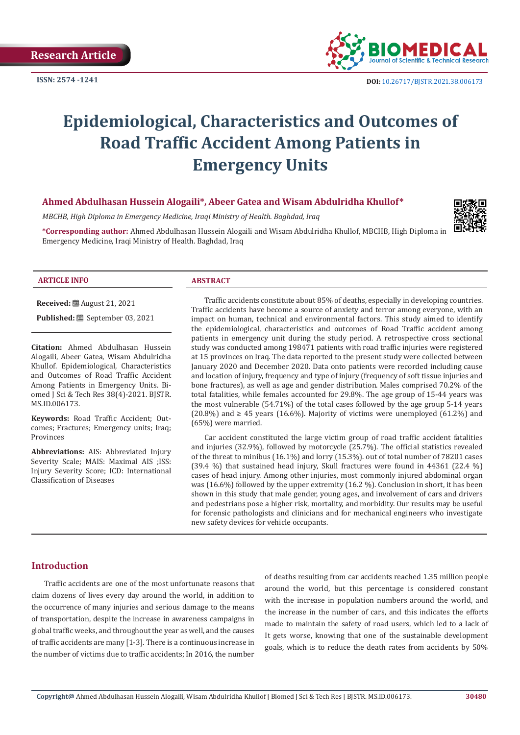**ISSN: 2574 -1241**



# **Epidemiological, Characteristics and Outcomes of Road Traffic Accident Among Patients in Emergency Units**

# **Ahmed Abdulhasan Hussein Alogaili\*, Abeer Gatea and Wisam Abdulridha Khullof\***

*MBCHB, High Diploma in Emergency Medicine, Iraqi Ministry of Health. Baghdad, Iraq*

**\*Corresponding author:** Ahmed Abdulhasan Hussein Alogaili and Wisam Abdulridha Khullof, MBCHB, High Diploma in Emergency Medicine, Iraqi Ministry of Health. Baghdad, Iraq



#### **ARTICLE INFO ABSTRACT**

**Received:** August 21, 2021

**Published:** ■ September 03, 2021

**Citation:** Ahmed Abdulhasan Hussein Alogaili, Abeer Gatea, Wisam Abdulridha Khullof. Epidemiological, Characteristics and Outcomes of Road Traffic Accident Among Patients in Emergency Units. Biomed J Sci & Tech Res 38(4)-2021. BJSTR. MS.ID.006173.

**Keywords:** Road Traffic Accident; Outcomes; Fractures; Emergency units; Iraq; Provinces

**Abbreviations:** AIS: Abbreviated Injury Severity Scale; MAIS: Maximal AIS ;ISS: Injury Severity Score; ICD: International Classification of Diseases

Traffic accidents constitute about 85% of deaths, especially in developing countries. Traffic accidents have become a source of anxiety and terror among everyone, with an impact on human, technical and environmental factors. This study aimed to identify the epidemiological, characteristics and outcomes of Road Traffic accident among patients in emergency unit during the study period. A retrospective cross sectional study was conducted among 198471 patients with road traffic injuries were registered at 15 provinces on Iraq. The data reported to the present study were collected between January 2020 and December 2020. Data onto patients were recorded including cause and location of injury, frequency and type of injury (frequency of soft tissue injuries and bone fractures), as well as age and gender distribution. Males comprised 70.2% of the total fatalities, while females accounted for 29.8%. The age group of 15-44 years was the most vulnerable (54.71%) of the total cases followed by the age group 5-14 years  $(20.8\%)$  and  $\geq 45$  years  $(16.6\%)$ . Majority of victims were unemployed  $(61.2\%)$  and (65%) were married.

Car accident constituted the large victim group of road traffic accident fatalities and injuries (32.9%), followed by motorcycle (25.7%). The official statistics revealed of the threat to minibus (16.1%) and lorry (15.3%). out of total number of 78201 cases (39.4 %) that sustained head injury, Skull fractures were found in 44361 (22.4 %) cases of head injury. Among other injuries, most commonly injured abdominal organ was (16.6%) followed by the upper extremity (16.2 %). Conclusion in short, it has been shown in this study that male gender, young ages, and involvement of cars and drivers and pedestrians pose a higher risk, mortality, and morbidity. Our results may be useful for forensic pathologists and clinicians and for mechanical engineers who investigate new safety devices for vehicle occupants.

### **Introduction**

Traffic accidents are one of the most unfortunate reasons that claim dozens of lives every day around the world, in addition to the occurrence of many injuries and serious damage to the means of transportation, despite the increase in awareness campaigns in global traffic weeks, and throughout the year as well, and the causes of traffic accidents are many [1-3]. There is a continuous increase in the number of victims due to traffic accidents; In 2016, the number

of deaths resulting from car accidents reached 1.35 million people around the world, but this percentage is considered constant with the increase in population numbers around the world, and the increase in the number of cars, and this indicates the efforts made to maintain the safety of road users, which led to a lack of It gets worse, knowing that one of the sustainable development goals, which is to reduce the death rates from accidents by 50%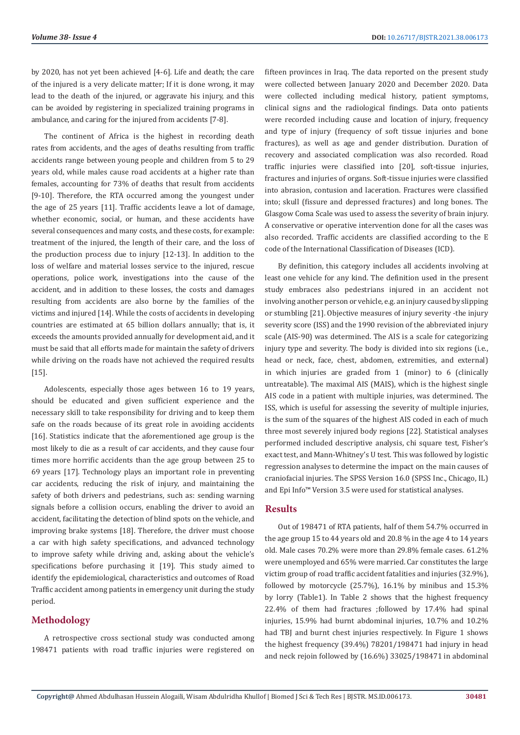by 2020, has not yet been achieved [4-6]. Life and death; the care of the injured is a very delicate matter; If it is done wrong, it may lead to the death of the injured, or aggravate his injury, and this can be avoided by registering in specialized training programs in ambulance, and caring for the injured from accidents [7-8].

The continent of Africa is the highest in recording death rates from accidents, and the ages of deaths resulting from traffic accidents range between young people and children from 5 to 29 years old, while males cause road accidents at a higher rate than females, accounting for 73% of deaths that result from accidents [9-10]. Therefore, the RTA occurred among the youngest under the age of 25 years [11]. Traffic accidents leave a lot of damage, whether economic, social, or human, and these accidents have several consequences and many costs, and these costs, for example: treatment of the injured, the length of their care, and the loss of the production process due to injury [12-13]. In addition to the loss of welfare and material losses service to the injured, rescue operations, police work, investigations into the cause of the accident, and in addition to these losses, the costs and damages resulting from accidents are also borne by the families of the victims and injured [14]. While the costs of accidents in developing countries are estimated at 65 billion dollars annually; that is, it exceeds the amounts provided annually for development aid, and it must be said that all efforts made for maintain the safety of drivers while driving on the roads have not achieved the required results [15].

Adolescents, especially those ages between 16 to 19 years, should be educated and given sufficient experience and the necessary skill to take responsibility for driving and to keep them safe on the roads because of its great role in avoiding accidents [16]. Statistics indicate that the aforementioned age group is the most likely to die as a result of car accidents, and they cause four times more horrific accidents than the age group between 25 to 69 years [17]. Technology plays an important role in preventing car accidents, reducing the risk of injury, and maintaining the safety of both drivers and pedestrians, such as: sending warning signals before a collision occurs, enabling the driver to avoid an accident, facilitating the detection of blind spots on the vehicle, and improving brake systems [18]. Therefore, the driver must choose a car with high safety specifications, and advanced technology to improve safety while driving and, asking about the vehicle's specifications before purchasing it [19]. This study aimed to identify the epidemiological, characteristics and outcomes of Road Traffic accident among patients in emergency unit during the study period.

# **Methodology**

A retrospective cross sectional study was conducted among 198471 patients with road traffic injuries were registered on

fifteen provinces in Iraq. The data reported on the present study were collected between January 2020 and December 2020. Data were collected including medical history, patient symptoms, clinical signs and the radiological findings. Data onto patients were recorded including cause and location of injury, frequency and type of injury (frequency of soft tissue injuries and bone fractures), as well as age and gender distribution. Duration of recovery and associated complication was also recorded. Road traffic injuries were classified into [20], soft-tissue injuries, fractures and injuries of organs. Soft-tissue injuries were classified into abrasion, contusion and laceration. Fractures were classified into; skull (fissure and depressed fractures) and long bones. The Glasgow Coma Scale was used to assess the severity of brain injury. A conservative or operative intervention done for all the cases was also recorded. Traffic accidents are classified according to the E code of the International Classification of Diseases (ICD).

By definition, this category includes all accidents involving at least one vehicle for any kind. The definition used in the present study embraces also pedestrians injured in an accident not involving another person or vehicle, e.g. an injury caused by slipping or stumbling [21]. Objective measures of injury severity -the injury severity score (ISS) and the 1990 revision of the abbreviated injury scale (AIS-90) was determined. The AIS is a scale for categorizing injury type and severity. The body is divided into six regions (i.e., head or neck, face, chest, abdomen, extremities, and external) in which injuries are graded from 1 (minor) to 6 (clinically untreatable). The maximal AIS (MAIS), which is the highest single AIS code in a patient with multiple injuries, was determined. The ISS, which is useful for assessing the severity of multiple injuries, is the sum of the squares of the highest AIS coded in each of much three most severely injured body regions [22]. Statistical analyses performed included descriptive analysis, chi square test, Fisher's exact test, and Mann-Whitney's U test. This was followed by logistic regression analyses to determine the impact on the main causes of craniofacial injuries. The SPSS Version 16.0 (SPSS Inc., Chicago, IL) and Epi Info™ Version 3.5 were used for statistical analyses.

# **Results**

Out of 198471 of RTA patients, half of them 54.7% occurred in the age group 15 to 44 years old and 20.8 % in the age 4 to 14 years old. Male cases 70.2% were more than 29.8% female cases. 61.2% were unemployed and 65% were married. Car constitutes the large victim group of road traffic accident fatalities and injuries (32.9%), followed by motorcycle  $(25.7%)$ ,  $16.1%$  by minibus and  $15.3%$ by lorry (Table1). In Table 2 shows that the highest frequency 22.4% of them had fractures ;followed by 17.4% had spinal injuries, 15.9% had burnt abdominal injuries, 10.7% and 10.2% had TBJ and burnt chest injuries respectively. In Figure 1 shows the highest frequency (39.4%) 78201/198471 had injury in head and neck rejoin followed by (16.6%) 33025/198471 in abdominal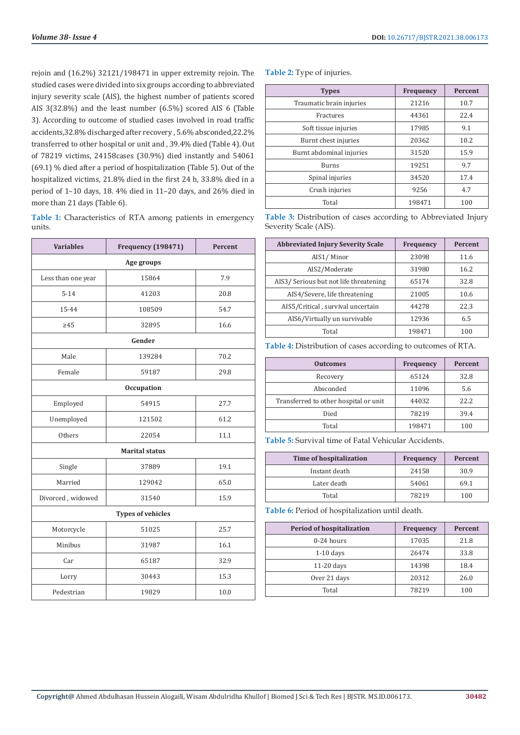rejoin and (16.2%) 32121/198471 in upper extremity rejoin. The studied cases were divided into six groups according to abbreviated injury severity scale (AIS), the highest number of patients scored AIS 3(32.8%) and the least number (6.5%) scored AIS 6 (Table 3). According to outcome of studied cases involved in road traffic accidents,32.8% discharged after recovery , 5.6% absconded,22.2% transferred to other hospital or unit and , 39.4% died (Table 4). Out of 78219 victims, 24158cases (30.9%) died instantly and 54061 (69.1) % died after a period of hospitalization (Table 5). Out of the hospitalized victims, 21.8% died in the first 24 h, 33.8% died in a period of 1–10 days, 18. 4% died in 11–20 days, and 26% died in more than 21 days (Table 6).

**Table 1:** Characteristics of RTA among patients in emergency units.

| <b>Variables</b>         | <b>Frequency (198471)</b> | Percent |  |
|--------------------------|---------------------------|---------|--|
| Age groups               |                           |         |  |
| Less than one year       | 15864                     | 7.9     |  |
| $5 - 14$                 | 41203                     | 20.8    |  |
| 15-44                    | 108509                    | 54.7    |  |
| $\geq 45$                | 32895                     | 16.6    |  |
| Gender                   |                           |         |  |
| Male                     | 139284                    | 70.2    |  |
| Female                   | 59187                     | 29.8    |  |
| <b>Occupation</b>        |                           |         |  |
| Employed                 | 54915                     | 27.7    |  |
| Unemployed               | 121502                    | 61.2    |  |
| Others                   | 22054                     | 11.1    |  |
| <b>Marital status</b>    |                           |         |  |
| Single                   | 37889                     | 19.1    |  |
| Married                  | 129042                    | 65.0    |  |
| Divorced, widowed        | 31540                     | 15.9    |  |
| <b>Types of vehicles</b> |                           |         |  |
| Motorcycle               | 51025                     | 25.7    |  |
| Minibus                  | 31987                     | 16.1    |  |
| Car                      | 65187                     | 32.9    |  |
| Lorry                    | 30443                     | 15.3    |  |
| Pedestrian               | 19829                     | 10.0    |  |

**Table 2:** Type of injuries.

| <b>Types</b>             | Frequency | <b>Percent</b> |
|--------------------------|-----------|----------------|
| Traumatic brain injuries | 21216     | 10.7           |
| Fractures                | 44361     | 22.4           |
| Soft tissue injuries     | 17985     | 9.1            |
| Burnt chest injuries     | 20362     | 10.2           |
| Burnt abdominal injuries | 31520     | 15.9           |
| <b>Burns</b>             | 19251     | 9.7            |
| Spinal injuries          | 34520     | 17.4           |
| Crush injuries           | 9256      | 4.7            |
| Total                    | 198471    | 100            |

**Table 3:** Distribution of cases according to Abbreviated Injury Severity Scale (AIS).

| <b>Abbreviated Injury Severity Scale</b> | <b>Frequency</b> | Percent |
|------------------------------------------|------------------|---------|
| AIS1/Minor                               | 23098            | 11.6    |
| AIS2/Moderate                            | 31980            | 16.2    |
| AIS3/Serious but not life threatening    | 65174            | 32.8    |
| AIS4/Severe, life threatening            | 21005            | 10.6    |
| AIS5/Critical, survival uncertain        | 44278            | 22.3    |
| AIS6/Virtually un survivable             | 12936            | 6.5     |
| Total                                    | 198471           | 100     |

**Table 4:** Distribution of cases according to outcomes of RTA.

| <b>Outcomes</b>                       | Frequency | <b>Percent</b> |
|---------------------------------------|-----------|----------------|
| Recovery                              | 65124     | 32.8           |
| Absconded                             | 11096     | 5.6            |
| Transferred to other hospital or unit | 44032     | 22.2.          |
| Died                                  | 78219     | 39.4           |
| Total                                 | 198471    | 100            |

**Table 5:** Survival time of Fatal Vehicular Accidents.

| Time of hospitalization | <b>Frequency</b> | Percent |
|-------------------------|------------------|---------|
| Instant death           | 24158            | 30.9    |
| Later death             | 54061            | 69.1    |
| Total                   | 78219            | 100     |

**Table 6:** Period of hospitalization until death.

| <b>Period of hospitalization</b> | <b>Frequency</b> | Percent |
|----------------------------------|------------------|---------|
| 0-24 hours                       | 17035            | 21.8    |
| $1-10$ days                      | 26474            | 33.8    |
| $11-20$ days                     | 14398            | 18.4    |
| Over 21 days                     | 20312            | 26.0    |
| Total                            | 78219            | 100     |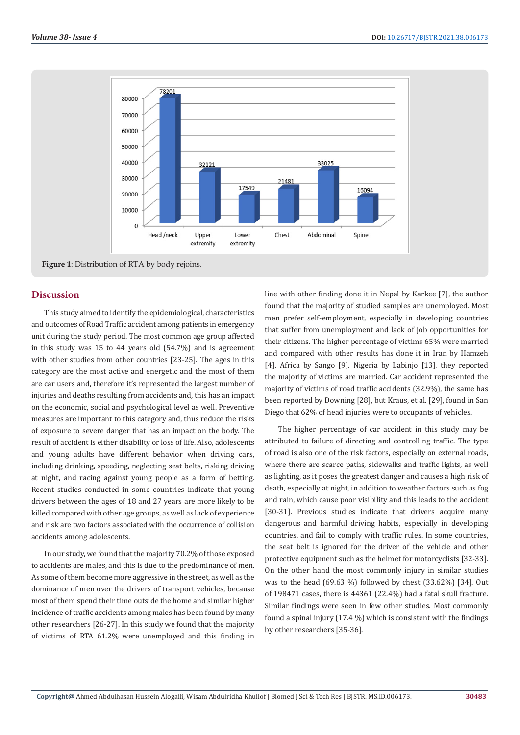

**Figure 1**: Distribution of RTA by body rejoins.

#### **Discussion**

This study aimed to identify the epidemiological, characteristics and outcomes of Road Traffic accident among patients in emergency unit during the study period. The most common age group affected in this study was 15 to 44 years old (54.7%) and is agreement with other studies from other countries [23-25]. The ages in this category are the most active and energetic and the most of them are car users and, therefore it's represented the largest number of injuries and deaths resulting from accidents and, this has an impact on the economic, social and psychological level as well. Preventive measures are important to this category and, thus reduce the risks of exposure to severe danger that has an impact on the body. The result of accident is either disability or loss of life. Also, adolescents and young adults have different behavior when driving cars, including drinking, speeding, neglecting seat belts, risking driving at night, and racing against young people as a form of betting. Recent studies conducted in some countries indicate that young drivers between the ages of 18 and 27 years are more likely to be killed compared with other age groups, as well as lack of experience and risk are two factors associated with the occurrence of collision accidents among adolescents.

In our study, we found that the majority 70.2% of those exposed to accidents are males, and this is due to the predominance of men. As some of them become more aggressive in the street, as well as the dominance of men over the drivers of transport vehicles, because most of them spend their time outside the home and similar higher incidence of traffic accidents among males has been found by many other researchers [26-27]. In this study we found that the majority of victims of RTA 61.2% were unemployed and this finding in

line with other finding done it in Nepal by Karkee [7], the author found that the majority of studied samples are unemployed. Most men prefer self-employment, especially in developing countries that suffer from unemployment and lack of job opportunities for their citizens. The higher percentage of victims 65% were married and compared with other results has done it in Iran by Hamzeh [4], Africa by Sango [9], Nigeria by Labinjo [13], they reported the majority of victims are married. Car accident represented the majority of victims of road traffic accidents (32.9%), the same has been reported by Downing [28], but Kraus, et al. [29], found in San Diego that 62% of head injuries were to occupants of vehicles.

The higher percentage of car accident in this study may be attributed to failure of directing and controlling traffic. The type of road is also one of the risk factors, especially on external roads, where there are scarce paths, sidewalks and traffic lights, as well as lighting, as it poses the greatest danger and causes a high risk of death, especially at night, in addition to weather factors such as fog and rain, which cause poor visibility and this leads to the accident [30-31]. Previous studies indicate that drivers acquire many dangerous and harmful driving habits, especially in developing countries, and fail to comply with traffic rules. In some countries, the seat belt is ignored for the driver of the vehicle and other protective equipment such as the helmet for motorcyclists [32-33]. On the other hand the most commonly injury in similar studies was to the head (69.63 %) followed by chest (33.62%) [34]. Out of 198471 cases, there is 44361 (22.4%) had a fatal skull fracture. Similar findings were seen in few other studies. Most commonly found a spinal injury (17.4 %) which is consistent with the findings by other researchers [35-36].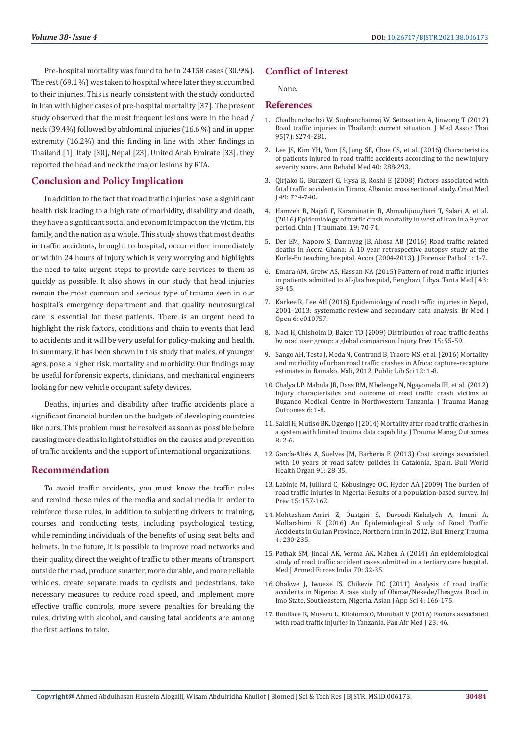Pre-hospital mortality was found to be in 24158 cases (30.9%). The rest (69.1 %) was taken to hospital where later they succumbed to their injuries. This is nearly consistent with the study conducted in Iran with higher cases of pre-hospital mortality [37]. The present study observed that the most frequent lesions were in the head / neck (39.4%) followed by abdominal injuries (16.6 %) and in upper extremity (16.2%) and this finding in line with other findings in Thailand [1], Italy [30], Nepal [23], United Arab Emirate [33], they reported the head and neck the major lesions by RTA.

# **Conclusion and Policy Implication**

In addition to the fact that road traffic injuries pose a significant health risk leading to a high rate of morbidity, disability and death, they have a significant social and economic impact on the victim, his family, and the nation as a whole. This study shows that most deaths in traffic accidents, brought to hospital, occur either immediately or within 24 hours of injury which is very worrying and highlights the need to take urgent steps to provide care services to them as quickly as possible. It also shows in our study that head injuries remain the most common and serious type of trauma seen in our hospital's emergency department and that quality neurosurgical care is essential for these patients. There is an urgent need to highlight the risk factors, conditions and chain to events that lead to accidents and it will be very useful for policy-making and health. In summary, it has been shown in this study that males, of younger ages, pose a higher risk, mortality and morbidity. Our findings may be useful for forensic experts, clinicians, and mechanical engineers looking for new vehicle occupant safety devices.

Deaths, injuries and disability after traffic accidents place a significant financial burden on the budgets of developing countries like ours. This problem must be resolved as soon as possible before causing more deaths in light of studies on the causes and prevention of traffic accidents and the support of international organizations.

### **Recommendation**

To avoid traffic accidents, you must know the traffic rules and remind these rules of the media and social media in order to reinforce these rules, in addition to subjecting drivers to training, courses and conducting tests, including psychological testing, while reminding individuals of the benefits of using seat belts and helmets. In the future, it is possible to improve road networks and their quality, direct the weight of traffic to other means of transport outside the road, produce smarter, more durable, and more reliable vehicles, create separate roads to cyclists and pedestrians, take necessary measures to reduce road speed, and implement more effective traffic controls, more severe penalties for breaking the rules, driving with alcohol, and causing fatal accidents are among the first actions to take.

# **Conflict of Interest**

None.

#### **References**

- 1. [Chadbunchachai W, Suphanchaimaj W, Settasatien A, Jinwong T \(2012\)](https://pubmed.ncbi.nlm.nih.gov/23130465/) [Road traffic injuries in Thailand: current situation. J Med Assoc Thai](https://pubmed.ncbi.nlm.nih.gov/23130465/) [95\(7\): S274-281.](https://pubmed.ncbi.nlm.nih.gov/23130465/)
- 2. [Lee JS, Kim YH, Yum JS, Jung SE, Chae CS, et al. \(2016\) Characteristics](https://www.ncbi.nlm.nih.gov/labs/pmc/articles/PMC4855123/) [of patients injured in road traffic accidents according to the new injury](https://www.ncbi.nlm.nih.gov/labs/pmc/articles/PMC4855123/) [severity score. Ann Rehabil Med 40: 288-293.](https://www.ncbi.nlm.nih.gov/labs/pmc/articles/PMC4855123/)
- 3. [Qirjako G, Burazeri G, Hysa B, Roshi E \(2008\) Factors associated with](https://www.ncbi.nlm.nih.gov/labs/pmc/articles/PMC2621023/) [fatal traffic accidents in Tirana, Albania: cross sectional study. Croat Med](https://www.ncbi.nlm.nih.gov/labs/pmc/articles/PMC2621023/) [J 49: 734-740.](https://www.ncbi.nlm.nih.gov/labs/pmc/articles/PMC2621023/)
- 4. [Hamzeh B, Najafi F, Karaminatin B, Ahmadijiouybari T, Salari A, et al.](https://www.ncbi.nlm.nih.gov/labs/pmc/articles/PMC4897842/) [\(2016\) Epidemiology of traffic crash mortality in west of Iran in a 9 year](https://www.ncbi.nlm.nih.gov/labs/pmc/articles/PMC4897842/) [period. Chin J Traumatol 19: 70-74.](https://www.ncbi.nlm.nih.gov/labs/pmc/articles/PMC4897842/)
- 5. [Der EM, Naporo S, Damnyag JB, Akosa AB \(2016\) Road traffic related](https://www.longdom.org/open-access/roadtraffic-related-deaths-in-accra-ghana-a-10year-retrospective-autopsystudy-at-the-korlebu-teaching-hospital-accra-20042013-.pdf) [deaths in Accra Ghana: A 10 year retrospective autopsy study at the](https://www.longdom.org/open-access/roadtraffic-related-deaths-in-accra-ghana-a-10year-retrospective-autopsystudy-at-the-korlebu-teaching-hospital-accra-20042013-.pdf) [Korle-Bu teaching hospital, Accra \(2004-2013\). J Forensic Pathol 1: 1-7.](https://www.longdom.org/open-access/roadtraffic-related-deaths-in-accra-ghana-a-10year-retrospective-autopsystudy-at-the-korlebu-teaching-hospital-accra-20042013-.pdf)
- 6. [Emara AM, Greiw AS, Hassan NA \(2015\) Pattern of road traffic injuries](https://www.tdj.eg.net/article.asp?issn=1110-1415;year=2015;volume=43;issue=2;spage=39;epage=45;aulast=Emara;type=0) [in patients admitted to AI-jlaa hospital, Benghazi, Libya. Tanta Med J 43:](https://www.tdj.eg.net/article.asp?issn=1110-1415;year=2015;volume=43;issue=2;spage=39;epage=45;aulast=Emara;type=0) [39-45.](https://www.tdj.eg.net/article.asp?issn=1110-1415;year=2015;volume=43;issue=2;spage=39;epage=45;aulast=Emara;type=0)
- 7. [Karkee R, Lee AH \(2016\) Epidemiology of road traffic injuries in Nepal,](https://bmjopen.bmj.com/content/6/4/e010757) [2001–2013: systematic review and secondary data analysis. Br Med J](https://bmjopen.bmj.com/content/6/4/e010757) [Open 6: e010757.](https://bmjopen.bmj.com/content/6/4/e010757)
- 8. [Naci H, Chisholm D, Baker TD \(2009\) Distribution of road traffic deaths](https://pubmed.ncbi.nlm.nih.gov/19190278/) [by road user group: a global comparison. Injury Prev 15: 55-59.](https://pubmed.ncbi.nlm.nih.gov/19190278/)
- 9. [Sango AH, Testa J, Meda N, Contrand B, Traore MS, et al. \(2016\) Mortality](https://journals.plos.org/plosone/article?id=10.1371/journal.pone.0149070) [and morbidity of urban road traffic crashes in Africa: capture-recapture](https://journals.plos.org/plosone/article?id=10.1371/journal.pone.0149070) [estimates in Bamako, Mali, 2012. Public Lib Sci 12: 1-8.](https://journals.plos.org/plosone/article?id=10.1371/journal.pone.0149070)
- 10. [Chalya LP, Mabula JB, Dass RM, Mbelenge N, Ngayomela IH, et al. \(2012\)](https://www.ncbi.nlm.nih.gov/labs/pmc/articles/PMC3292995/) [Injury characteristics and outcome of road traffic crash victims at](https://www.ncbi.nlm.nih.gov/labs/pmc/articles/PMC3292995/) [Bugando Medical Centre in Northwestern Tanzania. J Trauma Manag](https://www.ncbi.nlm.nih.gov/labs/pmc/articles/PMC3292995/) [Outcomes 6: 1-8.](https://www.ncbi.nlm.nih.gov/labs/pmc/articles/PMC3292995/)
- 11. [Saidi H, Mutiso BK, Ogengo J \(2014\) Mortality after road traffic crashes in](https://www.ncbi.nlm.nih.gov/labs/pmc/articles/PMC3937015/) [a system with limited trauma data capability. J Trauma Manag Outcomes](https://www.ncbi.nlm.nih.gov/labs/pmc/articles/PMC3937015/) [8: 2-6.](https://www.ncbi.nlm.nih.gov/labs/pmc/articles/PMC3937015/)
- 12. García-Altés A, Suelves JM, Barberí[a E \(2013\) Cost savings associated](https://www.ncbi.nlm.nih.gov/labs/pmc/articles/PMC3537251/) [with 10 years of road safety policies in Catalonia, Spain. Bull World](https://www.ncbi.nlm.nih.gov/labs/pmc/articles/PMC3537251/) [Health Organ 91: 28-35.](https://www.ncbi.nlm.nih.gov/labs/pmc/articles/PMC3537251/)
- 13. [Labinjo M, Juillard C, Kobusingye OC, Hyder AA \(2009\) The burden of](https://pubmed.ncbi.nlm.nih.gov/19494094/) [road traffic injuries in Nigeria: Results of a population-based survey. Inj](https://pubmed.ncbi.nlm.nih.gov/19494094/) [Prev 15: 157-162.](https://pubmed.ncbi.nlm.nih.gov/19494094/)
- 14. [Mohtasham-Amiri Z, Dastgiri S, Davoudi-Kiakalyeh A, Imani A,](https://pubmed.ncbi.nlm.nih.gov/27878129/) [Mollarahimi K \(2016\) An Epidemiological Study of Road Traffic](https://pubmed.ncbi.nlm.nih.gov/27878129/) [Accidents in Guilan Province, Northern Iran in 2012. Bull Emerg Trauma](https://pubmed.ncbi.nlm.nih.gov/27878129/) [4: 230-235.](https://pubmed.ncbi.nlm.nih.gov/27878129/)
- 15. [Pathak SM, Jindal AK, Verma AK, Mahen A \(2014\) An epidemiological](https://pubmed.ncbi.nlm.nih.gov/24623944/) [study of road traffic accident cases admitted in a tertiary care hospital.](https://pubmed.ncbi.nlm.nih.gov/24623944/) [Med J Armed Forces India 70: 32-35.](https://pubmed.ncbi.nlm.nih.gov/24623944/)
- 16. [Ohakwe J, Iwueze IS, Chikezie DC \(2011\) Analysis of road traffic](https://scialert.net/abstract/?doi=ajaps.2011.166.175) [accidents in Nigeria: A case study of Obinze/Nekede/Iheagwa Road in](https://scialert.net/abstract/?doi=ajaps.2011.166.175) [Imo State, Southeastern, Nigeria. Asian J App Sci 4: 166-175.](https://scialert.net/abstract/?doi=ajaps.2011.166.175)
- 17. [Boniface R, Museru L, Kiloloma O, Munthali V \(2016\) Factors associated](https://www.ncbi.nlm.nih.gov/labs/pmc/articles/PMC4862800/) [with road traffic injuries in Tanzania. Pan Afr Med J 23: 46.](https://www.ncbi.nlm.nih.gov/labs/pmc/articles/PMC4862800/)